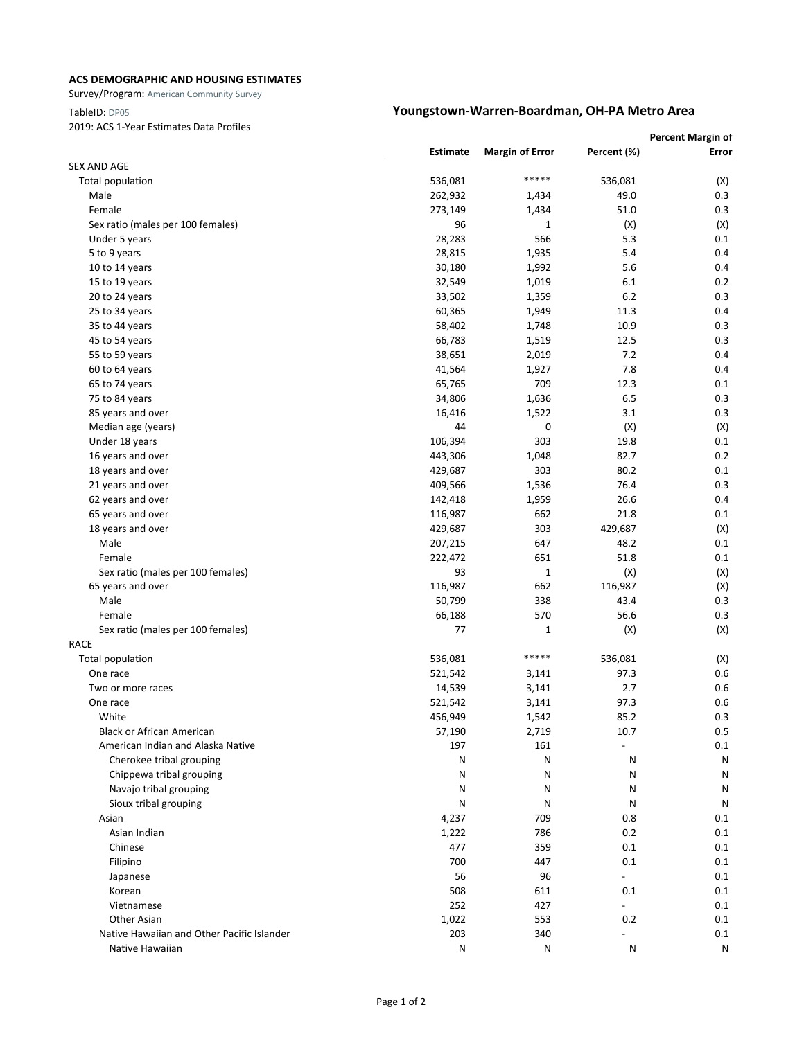### **ACS DEMOGRAPHIC AND HOUSING ESTIMATES**

Survey/Program: American Community Survey

### 2019: ACS 1-Year Estimates Data Profiles

## TableID: DP05 **Youngstown-Warren-Boardman, OH-PA Metro Area**

| Percent (%)<br>Estimate<br><b>Margin of Error</b><br>Error<br><b>SEX AND AGE</b><br>*****<br>536,081<br>536,081<br>Total population<br>(X)<br>0.3<br>Male<br>262,932<br>1,434<br>49.0<br>51.0<br>0.3<br>Female<br>273,149<br>1,434<br>96<br>Sex ratio (males per 100 females)<br>1<br>(X)<br>(X)<br>28,283<br>566<br>5.3<br>0.1<br>Under 5 years<br>28,815<br>1,935<br>5.4<br>0.4<br>5 to 9 years<br>5.6<br>0.4<br>10 to 14 years<br>30,180<br>1,992<br>0.2<br>15 to 19 years<br>32,549<br>1,019<br>6.1<br>6.2<br>0.3<br>20 to 24 years<br>33,502<br>1,359<br>0.4<br>25 to 34 years<br>60,365<br>1,949<br>11.3<br>58,402<br>10.9<br>0.3<br>35 to 44 years<br>1,748<br>0.3<br>66,783<br>12.5<br>45 to 54 years<br>1,519<br>7.2<br>0.4<br>55 to 59 years<br>38,651<br>2,019<br>7.8<br>0.4<br>60 to 64 years<br>41,564<br>1,927<br>709<br>12.3<br>65 to 74 years<br>65,765<br>0.1<br>6.5<br>0.3<br>75 to 84 years<br>34,806<br>1,636<br>1,522<br>3.1<br>0.3<br>85 years and over<br>16,416<br>0<br>(X)<br>Median age (years)<br>44<br>(X)<br>303<br>0.1<br>Under 18 years<br>106,394<br>19.8<br>0.2<br>1,048<br>82.7<br>16 years and over<br>443,306<br>303<br>80.2<br>0.1<br>18 years and over<br>429,687<br>76.4<br>0.3<br>21 years and over<br>409,566<br>1,536<br>0.4<br>1,959<br>26.6<br>62 years and over<br>142,418<br>662<br>21.8<br>0.1<br>65 years and over<br>116,987<br>18 years and over<br>429,687<br>303<br>429,687<br>(X)<br>Male<br>647<br>48.2<br>0.1<br>207,215<br>651<br>Female<br>222,472<br>51.8<br>0.1<br>93<br>(X)<br>(X)<br>Sex ratio (males per 100 females)<br>1<br>65 years and over<br>116,987<br>662<br>116,987<br>(X)<br>Male<br>338<br>0.3<br>50,799<br>43.4<br>570<br>56.6<br>0.3<br>Female<br>66,188<br>(X)<br>Sex ratio (males per 100 females)<br>77<br>1<br>(X)<br><b>RACE</b><br>***** |
|---------------------------------------------------------------------------------------------------------------------------------------------------------------------------------------------------------------------------------------------------------------------------------------------------------------------------------------------------------------------------------------------------------------------------------------------------------------------------------------------------------------------------------------------------------------------------------------------------------------------------------------------------------------------------------------------------------------------------------------------------------------------------------------------------------------------------------------------------------------------------------------------------------------------------------------------------------------------------------------------------------------------------------------------------------------------------------------------------------------------------------------------------------------------------------------------------------------------------------------------------------------------------------------------------------------------------------------------------------------------------------------------------------------------------------------------------------------------------------------------------------------------------------------------------------------------------------------------------------------------------------------------------------------------------------------------------------------------------------------------------------------------------------------------------------------------------|
|                                                                                                                                                                                                                                                                                                                                                                                                                                                                                                                                                                                                                                                                                                                                                                                                                                                                                                                                                                                                                                                                                                                                                                                                                                                                                                                                                                                                                                                                                                                                                                                                                                                                                                                                                                                                                           |
|                                                                                                                                                                                                                                                                                                                                                                                                                                                                                                                                                                                                                                                                                                                                                                                                                                                                                                                                                                                                                                                                                                                                                                                                                                                                                                                                                                                                                                                                                                                                                                                                                                                                                                                                                                                                                           |
|                                                                                                                                                                                                                                                                                                                                                                                                                                                                                                                                                                                                                                                                                                                                                                                                                                                                                                                                                                                                                                                                                                                                                                                                                                                                                                                                                                                                                                                                                                                                                                                                                                                                                                                                                                                                                           |
|                                                                                                                                                                                                                                                                                                                                                                                                                                                                                                                                                                                                                                                                                                                                                                                                                                                                                                                                                                                                                                                                                                                                                                                                                                                                                                                                                                                                                                                                                                                                                                                                                                                                                                                                                                                                                           |
|                                                                                                                                                                                                                                                                                                                                                                                                                                                                                                                                                                                                                                                                                                                                                                                                                                                                                                                                                                                                                                                                                                                                                                                                                                                                                                                                                                                                                                                                                                                                                                                                                                                                                                                                                                                                                           |
|                                                                                                                                                                                                                                                                                                                                                                                                                                                                                                                                                                                                                                                                                                                                                                                                                                                                                                                                                                                                                                                                                                                                                                                                                                                                                                                                                                                                                                                                                                                                                                                                                                                                                                                                                                                                                           |
|                                                                                                                                                                                                                                                                                                                                                                                                                                                                                                                                                                                                                                                                                                                                                                                                                                                                                                                                                                                                                                                                                                                                                                                                                                                                                                                                                                                                                                                                                                                                                                                                                                                                                                                                                                                                                           |
|                                                                                                                                                                                                                                                                                                                                                                                                                                                                                                                                                                                                                                                                                                                                                                                                                                                                                                                                                                                                                                                                                                                                                                                                                                                                                                                                                                                                                                                                                                                                                                                                                                                                                                                                                                                                                           |
|                                                                                                                                                                                                                                                                                                                                                                                                                                                                                                                                                                                                                                                                                                                                                                                                                                                                                                                                                                                                                                                                                                                                                                                                                                                                                                                                                                                                                                                                                                                                                                                                                                                                                                                                                                                                                           |
|                                                                                                                                                                                                                                                                                                                                                                                                                                                                                                                                                                                                                                                                                                                                                                                                                                                                                                                                                                                                                                                                                                                                                                                                                                                                                                                                                                                                                                                                                                                                                                                                                                                                                                                                                                                                                           |
|                                                                                                                                                                                                                                                                                                                                                                                                                                                                                                                                                                                                                                                                                                                                                                                                                                                                                                                                                                                                                                                                                                                                                                                                                                                                                                                                                                                                                                                                                                                                                                                                                                                                                                                                                                                                                           |
|                                                                                                                                                                                                                                                                                                                                                                                                                                                                                                                                                                                                                                                                                                                                                                                                                                                                                                                                                                                                                                                                                                                                                                                                                                                                                                                                                                                                                                                                                                                                                                                                                                                                                                                                                                                                                           |
|                                                                                                                                                                                                                                                                                                                                                                                                                                                                                                                                                                                                                                                                                                                                                                                                                                                                                                                                                                                                                                                                                                                                                                                                                                                                                                                                                                                                                                                                                                                                                                                                                                                                                                                                                                                                                           |
|                                                                                                                                                                                                                                                                                                                                                                                                                                                                                                                                                                                                                                                                                                                                                                                                                                                                                                                                                                                                                                                                                                                                                                                                                                                                                                                                                                                                                                                                                                                                                                                                                                                                                                                                                                                                                           |
|                                                                                                                                                                                                                                                                                                                                                                                                                                                                                                                                                                                                                                                                                                                                                                                                                                                                                                                                                                                                                                                                                                                                                                                                                                                                                                                                                                                                                                                                                                                                                                                                                                                                                                                                                                                                                           |
|                                                                                                                                                                                                                                                                                                                                                                                                                                                                                                                                                                                                                                                                                                                                                                                                                                                                                                                                                                                                                                                                                                                                                                                                                                                                                                                                                                                                                                                                                                                                                                                                                                                                                                                                                                                                                           |
|                                                                                                                                                                                                                                                                                                                                                                                                                                                                                                                                                                                                                                                                                                                                                                                                                                                                                                                                                                                                                                                                                                                                                                                                                                                                                                                                                                                                                                                                                                                                                                                                                                                                                                                                                                                                                           |
|                                                                                                                                                                                                                                                                                                                                                                                                                                                                                                                                                                                                                                                                                                                                                                                                                                                                                                                                                                                                                                                                                                                                                                                                                                                                                                                                                                                                                                                                                                                                                                                                                                                                                                                                                                                                                           |
|                                                                                                                                                                                                                                                                                                                                                                                                                                                                                                                                                                                                                                                                                                                                                                                                                                                                                                                                                                                                                                                                                                                                                                                                                                                                                                                                                                                                                                                                                                                                                                                                                                                                                                                                                                                                                           |
|                                                                                                                                                                                                                                                                                                                                                                                                                                                                                                                                                                                                                                                                                                                                                                                                                                                                                                                                                                                                                                                                                                                                                                                                                                                                                                                                                                                                                                                                                                                                                                                                                                                                                                                                                                                                                           |
|                                                                                                                                                                                                                                                                                                                                                                                                                                                                                                                                                                                                                                                                                                                                                                                                                                                                                                                                                                                                                                                                                                                                                                                                                                                                                                                                                                                                                                                                                                                                                                                                                                                                                                                                                                                                                           |
|                                                                                                                                                                                                                                                                                                                                                                                                                                                                                                                                                                                                                                                                                                                                                                                                                                                                                                                                                                                                                                                                                                                                                                                                                                                                                                                                                                                                                                                                                                                                                                                                                                                                                                                                                                                                                           |
|                                                                                                                                                                                                                                                                                                                                                                                                                                                                                                                                                                                                                                                                                                                                                                                                                                                                                                                                                                                                                                                                                                                                                                                                                                                                                                                                                                                                                                                                                                                                                                                                                                                                                                                                                                                                                           |
|                                                                                                                                                                                                                                                                                                                                                                                                                                                                                                                                                                                                                                                                                                                                                                                                                                                                                                                                                                                                                                                                                                                                                                                                                                                                                                                                                                                                                                                                                                                                                                                                                                                                                                                                                                                                                           |
|                                                                                                                                                                                                                                                                                                                                                                                                                                                                                                                                                                                                                                                                                                                                                                                                                                                                                                                                                                                                                                                                                                                                                                                                                                                                                                                                                                                                                                                                                                                                                                                                                                                                                                                                                                                                                           |
|                                                                                                                                                                                                                                                                                                                                                                                                                                                                                                                                                                                                                                                                                                                                                                                                                                                                                                                                                                                                                                                                                                                                                                                                                                                                                                                                                                                                                                                                                                                                                                                                                                                                                                                                                                                                                           |
|                                                                                                                                                                                                                                                                                                                                                                                                                                                                                                                                                                                                                                                                                                                                                                                                                                                                                                                                                                                                                                                                                                                                                                                                                                                                                                                                                                                                                                                                                                                                                                                                                                                                                                                                                                                                                           |
|                                                                                                                                                                                                                                                                                                                                                                                                                                                                                                                                                                                                                                                                                                                                                                                                                                                                                                                                                                                                                                                                                                                                                                                                                                                                                                                                                                                                                                                                                                                                                                                                                                                                                                                                                                                                                           |
|                                                                                                                                                                                                                                                                                                                                                                                                                                                                                                                                                                                                                                                                                                                                                                                                                                                                                                                                                                                                                                                                                                                                                                                                                                                                                                                                                                                                                                                                                                                                                                                                                                                                                                                                                                                                                           |
|                                                                                                                                                                                                                                                                                                                                                                                                                                                                                                                                                                                                                                                                                                                                                                                                                                                                                                                                                                                                                                                                                                                                                                                                                                                                                                                                                                                                                                                                                                                                                                                                                                                                                                                                                                                                                           |
|                                                                                                                                                                                                                                                                                                                                                                                                                                                                                                                                                                                                                                                                                                                                                                                                                                                                                                                                                                                                                                                                                                                                                                                                                                                                                                                                                                                                                                                                                                                                                                                                                                                                                                                                                                                                                           |
|                                                                                                                                                                                                                                                                                                                                                                                                                                                                                                                                                                                                                                                                                                                                                                                                                                                                                                                                                                                                                                                                                                                                                                                                                                                                                                                                                                                                                                                                                                                                                                                                                                                                                                                                                                                                                           |
|                                                                                                                                                                                                                                                                                                                                                                                                                                                                                                                                                                                                                                                                                                                                                                                                                                                                                                                                                                                                                                                                                                                                                                                                                                                                                                                                                                                                                                                                                                                                                                                                                                                                                                                                                                                                                           |
|                                                                                                                                                                                                                                                                                                                                                                                                                                                                                                                                                                                                                                                                                                                                                                                                                                                                                                                                                                                                                                                                                                                                                                                                                                                                                                                                                                                                                                                                                                                                                                                                                                                                                                                                                                                                                           |
|                                                                                                                                                                                                                                                                                                                                                                                                                                                                                                                                                                                                                                                                                                                                                                                                                                                                                                                                                                                                                                                                                                                                                                                                                                                                                                                                                                                                                                                                                                                                                                                                                                                                                                                                                                                                                           |
| <b>Total population</b><br>536,081<br>536,081<br>(X)<br>0.6<br>521,542<br>97.3<br>One race<br>3,141                                                                                                                                                                                                                                                                                                                                                                                                                                                                                                                                                                                                                                                                                                                                                                                                                                                                                                                                                                                                                                                                                                                                                                                                                                                                                                                                                                                                                                                                                                                                                                                                                                                                                                                       |
| 2.7<br>0.6<br>14,539<br>3,141<br>Two or more races                                                                                                                                                                                                                                                                                                                                                                                                                                                                                                                                                                                                                                                                                                                                                                                                                                                                                                                                                                                                                                                                                                                                                                                                                                                                                                                                                                                                                                                                                                                                                                                                                                                                                                                                                                        |
| 97.3<br>0.6<br>521,542<br>3,141<br>One race                                                                                                                                                                                                                                                                                                                                                                                                                                                                                                                                                                                                                                                                                                                                                                                                                                                                                                                                                                                                                                                                                                                                                                                                                                                                                                                                                                                                                                                                                                                                                                                                                                                                                                                                                                               |
| 456,949<br>1,542<br>85.2<br>0.3<br>White                                                                                                                                                                                                                                                                                                                                                                                                                                                                                                                                                                                                                                                                                                                                                                                                                                                                                                                                                                                                                                                                                                                                                                                                                                                                                                                                                                                                                                                                                                                                                                                                                                                                                                                                                                                  |
| <b>Black or African American</b><br>0.5<br>57,190<br>2,719<br>10.7                                                                                                                                                                                                                                                                                                                                                                                                                                                                                                                                                                                                                                                                                                                                                                                                                                                                                                                                                                                                                                                                                                                                                                                                                                                                                                                                                                                                                                                                                                                                                                                                                                                                                                                                                        |
| 161<br>American Indian and Alaska Native<br>197<br>0.1                                                                                                                                                                                                                                                                                                                                                                                                                                                                                                                                                                                                                                                                                                                                                                                                                                                                                                                                                                                                                                                                                                                                                                                                                                                                                                                                                                                                                                                                                                                                                                                                                                                                                                                                                                    |
| Cherokee tribal grouping<br>Ν<br>Ν<br>N<br>N                                                                                                                                                                                                                                                                                                                                                                                                                                                                                                                                                                                                                                                                                                                                                                                                                                                                                                                                                                                                                                                                                                                                                                                                                                                                                                                                                                                                                                                                                                                                                                                                                                                                                                                                                                              |
| Chippewa tribal grouping<br>Ν<br>Ν<br>N<br>N                                                                                                                                                                                                                                                                                                                                                                                                                                                                                                                                                                                                                                                                                                                                                                                                                                                                                                                                                                                                                                                                                                                                                                                                                                                                                                                                                                                                                                                                                                                                                                                                                                                                                                                                                                              |
| Navajo tribal grouping<br>Ν<br>Ν<br>N<br>N                                                                                                                                                                                                                                                                                                                                                                                                                                                                                                                                                                                                                                                                                                                                                                                                                                                                                                                                                                                                                                                                                                                                                                                                                                                                                                                                                                                                                                                                                                                                                                                                                                                                                                                                                                                |
| Sioux tribal grouping<br>N<br>Ν<br>N<br>N                                                                                                                                                                                                                                                                                                                                                                                                                                                                                                                                                                                                                                                                                                                                                                                                                                                                                                                                                                                                                                                                                                                                                                                                                                                                                                                                                                                                                                                                                                                                                                                                                                                                                                                                                                                 |
| 4,237<br>709<br>0.8<br>0.1<br>Asian                                                                                                                                                                                                                                                                                                                                                                                                                                                                                                                                                                                                                                                                                                                                                                                                                                                                                                                                                                                                                                                                                                                                                                                                                                                                                                                                                                                                                                                                                                                                                                                                                                                                                                                                                                                       |
| 786<br>Asian Indian<br>1,222<br>0.2<br>0.1                                                                                                                                                                                                                                                                                                                                                                                                                                                                                                                                                                                                                                                                                                                                                                                                                                                                                                                                                                                                                                                                                                                                                                                                                                                                                                                                                                                                                                                                                                                                                                                                                                                                                                                                                                                |
| Chinese<br>477<br>359<br>0.1<br>0.1                                                                                                                                                                                                                                                                                                                                                                                                                                                                                                                                                                                                                                                                                                                                                                                                                                                                                                                                                                                                                                                                                                                                                                                                                                                                                                                                                                                                                                                                                                                                                                                                                                                                                                                                                                                       |
| 700<br>447<br>0.1<br>0.1<br>Filipino                                                                                                                                                                                                                                                                                                                                                                                                                                                                                                                                                                                                                                                                                                                                                                                                                                                                                                                                                                                                                                                                                                                                                                                                                                                                                                                                                                                                                                                                                                                                                                                                                                                                                                                                                                                      |
| 56<br>96<br>0.1<br>Japanese                                                                                                                                                                                                                                                                                                                                                                                                                                                                                                                                                                                                                                                                                                                                                                                                                                                                                                                                                                                                                                                                                                                                                                                                                                                                                                                                                                                                                                                                                                                                                                                                                                                                                                                                                                                               |
| 508<br>611<br>0.1<br>Korean<br>0.1                                                                                                                                                                                                                                                                                                                                                                                                                                                                                                                                                                                                                                                                                                                                                                                                                                                                                                                                                                                                                                                                                                                                                                                                                                                                                                                                                                                                                                                                                                                                                                                                                                                                                                                                                                                        |
| 252<br>427<br>0.1<br>Vietnamese<br>$\overline{\phantom{a}}$                                                                                                                                                                                                                                                                                                                                                                                                                                                                                                                                                                                                                                                                                                                                                                                                                                                                                                                                                                                                                                                                                                                                                                                                                                                                                                                                                                                                                                                                                                                                                                                                                                                                                                                                                               |
| 553<br>0.2<br>Other Asian<br>1,022<br>0.1                                                                                                                                                                                                                                                                                                                                                                                                                                                                                                                                                                                                                                                                                                                                                                                                                                                                                                                                                                                                                                                                                                                                                                                                                                                                                                                                                                                                                                                                                                                                                                                                                                                                                                                                                                                 |
| Native Hawaiian and Other Pacific Islander<br>203<br>340<br>0.1                                                                                                                                                                                                                                                                                                                                                                                                                                                                                                                                                                                                                                                                                                                                                                                                                                                                                                                                                                                                                                                                                                                                                                                                                                                                                                                                                                                                                                                                                                                                                                                                                                                                                                                                                           |
| N<br>${\sf N}$<br>Native Hawaiian<br>N<br>N                                                                                                                                                                                                                                                                                                                                                                                                                                                                                                                                                                                                                                                                                                                                                                                                                                                                                                                                                                                                                                                                                                                                                                                                                                                                                                                                                                                                                                                                                                                                                                                                                                                                                                                                                                               |